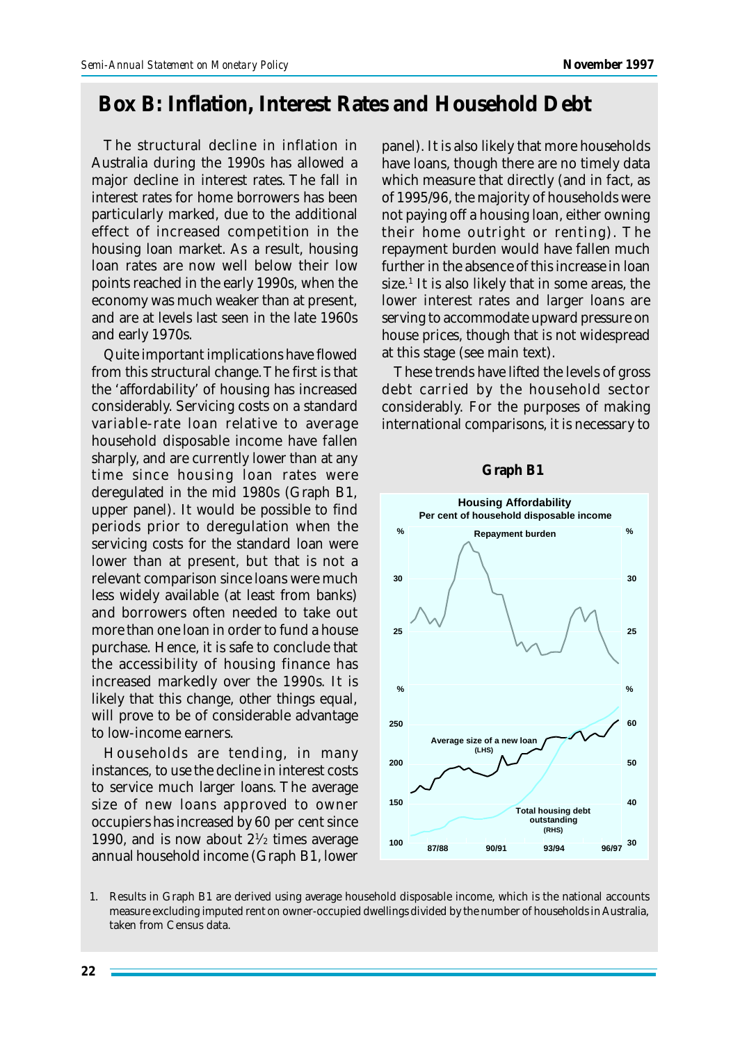## **Box B: Inflation, Interest Rates and Household Debt**

The structural decline in inflation in Australia during the 1990s has allowed a major decline in interest rates. The fall in interest rates for home borrowers has been particularly marked, due to the additional effect of increased competition in the housing loan market. As a result, housing loan rates are now well below their low points reached in the early 1990s, when the economy was much weaker than at present, and are at levels last seen in the late 1960s and early 1970s.

Quite important implications have flowed from this structural change. The first is that the 'affordability' of housing has increased considerably. Servicing costs on a standard variable-rate loan relative to average household disposable income have fallen sharply, and are currently lower than at any time since housing loan rates were deregulated in the mid 1980s (Graph B1, upper panel). It would be possible to find periods prior to deregulation when the servicing costs for the standard loan were lower than at present, but that is not a relevant comparison since loans were much less widely available (at least from banks) and borrowers often needed to take out more than one loan in order to fund a house purchase. Hence, it is safe to conclude that the accessibility of housing finance has increased markedly over the 1990s. It is likely that this change, other things equal, will prove to be of considerable advantage to low-income earners.

Households are tending, in many instances, to use the decline in interest costs to service much larger loans. The average size of new loans approved to owner occupiers has increased by 60 per cent since 1990, and is now about  $2\frac{1}{2}$  times average annual household income (Graph B1, lower panel). It is also likely that more households have loans, though there are no timely data which measure that directly (and in fact, as of 1995/96, the majority of households were not paying off a housing loan, either owning their home outright or renting). The repayment burden would have fallen much further in the absence of this increase in loan size.<sup>1</sup> It is also likely that in some areas, the lower interest rates and larger loans are serving to accommodate upward pressure on house prices, though that is not widespread at this stage (see main text).

These trends have lifted the levels of gross debt carried by the household sector considerably. For the purposes of making international comparisons, it is necessary to



## **Graph B1**

1. Results in Graph B1 are derived using average household disposable income, which is the national accounts measure excluding imputed rent on owner-occupied dwellings divided by the number of households in Australia, taken from Census data.